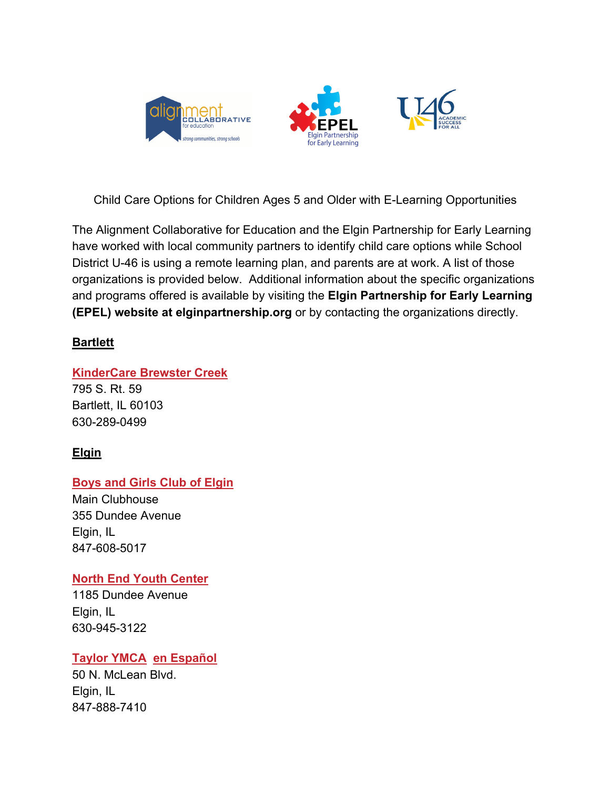





Child Care Options for Children Ages 5 and Older with E-Learning Opportunities

The Alignment Collaborative for Education and the Elgin Partnership for Early Learning have worked with local community partners to identify child care options while School District U-46 is using a remote learning plan, and parents are at work. A list of those organizations is provided below. Additional information about the specific organizations and programs offered is available by visiting the **Elgin Partnership for Early Learning (EPEL) website at elginpartnership.org** or by contacting the organizations directly.

# **Bartlett**

## **KinderCare Brewster Creek**

795 S. Rt. 59 Bartlett, IL 60103 630-289-0499

# **Elgin**

# **Boys and Girls Club of Elgin**

Main Clubhouse 355 Dundee Avenue Elgin, IL 847-608-5017

## **North End Youth Center**

1185 Dundee Avenue Elgin, IL 630-945-3122

## **Taylor YMCA en Español**

50 N. McLean Blvd. Elgin, IL 847-888-7410